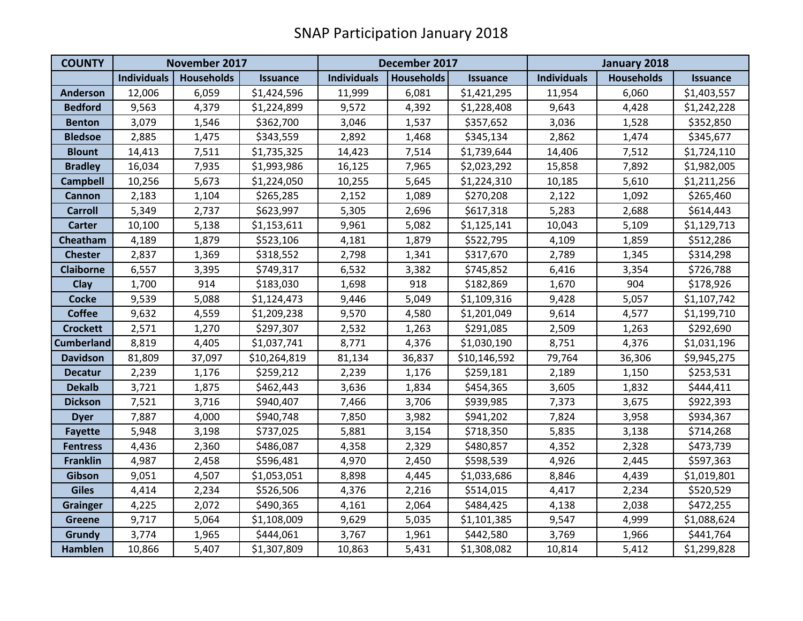| <b>COUNTY</b>     | November 2017      |                   |                 | December 2017      |                   |                 | January 2018       |                   |                 |
|-------------------|--------------------|-------------------|-----------------|--------------------|-------------------|-----------------|--------------------|-------------------|-----------------|
|                   | <b>Individuals</b> | <b>Households</b> | <b>Issuance</b> | <b>Individuals</b> | <b>Households</b> | <b>Issuance</b> | <b>Individuals</b> | <b>Households</b> | <b>Issuance</b> |
| <b>Anderson</b>   | 12,006             | 6,059             | \$1,424,596     | 11,999             | 6,081             | \$1,421,295     | 11,954             | 6,060             | \$1,403,557     |
| <b>Bedford</b>    | 9,563              | 4,379             | \$1,224,899     | 9,572              | 4,392             | \$1,228,408     | 9,643              | 4,428             | \$1,242,228     |
| <b>Benton</b>     | 3,079              | 1,546             | \$362,700       | 3,046              | 1,537             | \$357,652       | 3,036              | 1,528             | \$352,850       |
| <b>Bledsoe</b>    | 2,885              | 1,475             | \$343,559       | 2,892              | 1,468             | \$345,134       | 2,862              | 1,474             | \$345,677       |
| <b>Blount</b>     | 14,413             | 7,511             | \$1,735,325     | 14,423             | 7,514             | \$1,739,644     | 14,406             | 7,512             | \$1,724,110     |
| <b>Bradley</b>    | 16,034             | 7,935             | \$1,993,986     | 16,125             | 7,965             | \$2,023,292     | 15,858             | 7,892             | \$1,982,005     |
| <b>Campbell</b>   | 10,256             | 5,673             | \$1,224,050     | 10,255             | 5,645             | \$1,224,310     | 10,185             | 5,610             | \$1,211,256     |
| <b>Cannon</b>     | 2,183              | 1,104             | \$265,285       | 2,152              | 1,089             | \$270,208       | 2,122              | 1,092             | \$265,460       |
| <b>Carroll</b>    | 5,349              | 2,737             | \$623,997       | 5,305              | 2,696             | \$617,318       | 5,283              | 2,688             | \$614,443       |
| <b>Carter</b>     | 10,100             | 5,138             | \$1,153,611     | 9,961              | 5,082             | \$1,125,141     | 10,043             | 5,109             | \$1,129,713     |
| Cheatham          | 4,189              | 1,879             | \$523,106       | 4,181              | 1,879             | \$522,795       | 4,109              | 1,859             | \$512,286       |
| <b>Chester</b>    | 2,837              | 1,369             | \$318,552       | 2,798              | 1,341             | \$317,670       | 2,789              | 1,345             | \$314,298       |
| <b>Claiborne</b>  | 6,557              | 3,395             | \$749,317       | 6,532              | 3,382             | \$745,852       | 6,416              | 3,354             | \$726,788       |
| Clay              | 1,700              | 914               | \$183,030       | 1,698              | 918               | \$182,869       | 1,670              | 904               | \$178,926       |
| <b>Cocke</b>      | 9,539              | 5,088             | \$1,124,473     | 9,446              | 5,049             | \$1,109,316     | 9,428              | 5,057             | \$1,107,742     |
| <b>Coffee</b>     | 9,632              | 4,559             | \$1,209,238     | 9,570              | 4,580             | \$1,201,049     | 9,614              | 4,577             | \$1,199,710     |
| <b>Crockett</b>   | 2,571              | 1,270             | \$297,307       | 2,532              | 1,263             | \$291,085       | 2,509              | 1,263             | \$292,690       |
| <b>Cumberland</b> | 8,819              | 4,405             | \$1,037,741     | 8,771              | 4,376             | \$1,030,190     | 8,751              | 4,376             | \$1,031,196     |
| <b>Davidson</b>   | 81,809             | 37,097            | \$10,264,819    | 81,134             | 36,837            | \$10,146,592    | 79,764             | 36,306            | \$9,945,275     |
| <b>Decatur</b>    | 2,239              | 1,176             | \$259,212       | 2,239              | 1,176             | \$259,181       | 2,189              | 1,150             | \$253,531       |
| <b>Dekalb</b>     | 3,721              | 1,875             | \$462,443       | 3,636              | 1,834             | \$454,365       | 3,605              | 1,832             | \$444,411       |
| <b>Dickson</b>    | 7,521              | 3,716             | \$940,407       | 7,466              | 3,706             | \$939,985       | 7,373              | 3,675             | \$922,393       |
| <b>Dyer</b>       | 7,887              | 4,000             | \$940,748       | 7,850              | 3,982             | \$941,202       | 7,824              | 3,958             | \$934,367       |
| <b>Fayette</b>    | 5,948              | 3,198             | \$737,025       | 5,881              | 3,154             | \$718,350       | 5,835              | 3,138             | \$714,268       |
| <b>Fentress</b>   | 4,436              | 2,360             | \$486,087       | 4,358              | 2,329             | \$480,857       | 4,352              | 2,328             | \$473,739       |
| <b>Franklin</b>   | 4,987              | 2,458             | \$596,481       | 4,970              | 2,450             | \$598,539       | 4,926              | 2,445             | \$597,363       |
| Gibson            | 9,051              | 4,507             | \$1,053,051     | 8,898              | 4,445             | \$1,033,686     | 8,846              | 4,439             | \$1,019,801     |
| <b>Giles</b>      | 4,414              | 2,234             | \$526,506       | 4,376              | 2,216             | \$514,015       | 4,417              | 2,234             | \$520,529       |
| <b>Grainger</b>   | 4,225              | 2,072             | \$490,365       | 4,161              | 2,064             | \$484,425       | 4,138              | 2,038             | \$472,255       |
| <b>Greene</b>     | 9,717              | 5,064             | \$1,108,009     | 9,629              | 5,035             | \$1,101,385     | 9,547              | 4,999             | \$1,088,624     |
| Grundy            | 3,774              | 1,965             | \$444,061       | 3,767              | 1,961             | \$442,580       | 3,769              | 1,966             | \$441,764       |
| <b>Hamblen</b>    | 10,866             | 5,407             | \$1,307,809     | 10,863             | 5,431             | \$1,308,082     | 10,814             | 5,412             | \$1,299,828     |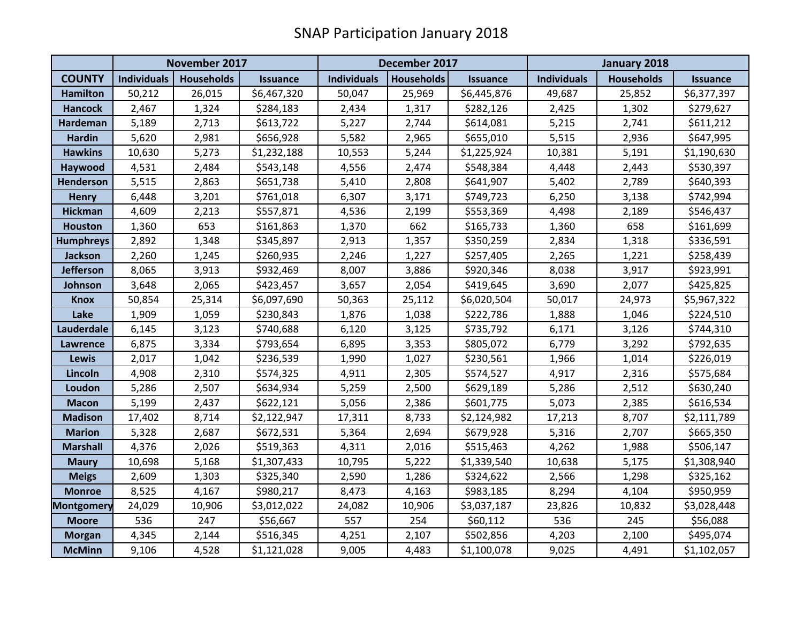|                   | November 2017      |                   |                 | December 2017      |                   |                 | January 2018       |                   |                 |
|-------------------|--------------------|-------------------|-----------------|--------------------|-------------------|-----------------|--------------------|-------------------|-----------------|
| <b>COUNTY</b>     | <b>Individuals</b> | <b>Households</b> | <b>Issuance</b> | <b>Individuals</b> | <b>Households</b> | <b>Issuance</b> | <b>Individuals</b> | <b>Households</b> | <b>Issuance</b> |
| <b>Hamilton</b>   | 50,212             | 26,015            | \$6,467,320     | 50,047             | 25,969            | \$6,445,876     | 49,687             | 25,852            | \$6,377,397     |
| <b>Hancock</b>    | 2,467              | 1,324             | \$284,183       | 2,434              | 1,317             | \$282,126       | 2,425              | 1,302             | \$279,627       |
| Hardeman          | 5,189              | 2,713             | \$613,722       | 5,227              | 2,744             | \$614,081       | 5,215              | 2,741             | \$611,212       |
| <b>Hardin</b>     | 5,620              | 2,981             | \$656,928       | 5,582              | 2,965             | \$655,010       | 5,515              | 2,936             | \$647,995       |
| <b>Hawkins</b>    | 10,630             | 5,273             | \$1,232,188     | 10,553             | 5,244             | \$1,225,924     | 10,381             | 5,191             | \$1,190,630     |
| Haywood           | 4,531              | 2,484             | \$543,148       | 4,556              | 2,474             | \$548,384       | 4,448              | 2,443             | \$530,397       |
| Henderson         | 5,515              | 2,863             | \$651,738       | 5,410              | 2,808             | \$641,907       | 5,402              | 2,789             | \$640,393       |
| <b>Henry</b>      | 6,448              | 3,201             | \$761,018       | 6,307              | 3,171             | \$749,723       | 6,250              | 3,138             | \$742,994       |
| <b>Hickman</b>    | 4,609              | 2,213             | \$557,871       | 4,536              | 2,199             | \$553,369       | 4,498              | 2,189             | \$546,437       |
| <b>Houston</b>    | 1,360              | 653               | \$161,863       | 1,370              | 662               | \$165,733       | 1,360              | 658               | \$161,699       |
| <b>Humphreys</b>  | 2,892              | 1,348             | \$345,897       | 2,913              | 1,357             | \$350,259       | 2,834              | 1,318             | \$336,591       |
| <b>Jackson</b>    | 2,260              | 1,245             | \$260,935       | 2,246              | 1,227             | \$257,405       | 2,265              | 1,221             | \$258,439       |
| <b>Jefferson</b>  | 8,065              | 3,913             | \$932,469       | 8,007              | 3,886             | \$920,346       | 8,038              | 3,917             | \$923,991       |
| Johnson           | 3,648              | 2,065             | \$423,457       | 3,657              | 2,054             | \$419,645       | 3,690              | 2,077             | \$425,825       |
| <b>Knox</b>       | 50,854             | 25,314            | \$6,097,690     | 50,363             | 25,112            | \$6,020,504     | 50,017             | 24,973            | \$5,967,322     |
| Lake              | 1,909              | 1,059             | \$230,843       | 1,876              | 1,038             | \$222,786       | 1,888              | 1,046             | \$224,510       |
| Lauderdale        | 6,145              | 3,123             | \$740,688       | 6,120              | 3,125             | \$735,792       | 6,171              | 3,126             | \$744,310       |
| <b>Lawrence</b>   | 6,875              | 3,334             | \$793,654       | 6,895              | 3,353             | \$805,072       | 6,779              | 3,292             | \$792,635       |
| <b>Lewis</b>      | 2,017              | 1,042             | \$236,539       | 1,990              | 1,027             | \$230,561       | 1,966              | 1,014             | \$226,019       |
| Lincoln           | 4,908              | 2,310             | \$574,325       | 4,911              | 2,305             | \$574,527       | 4,917              | 2,316             | \$575,684       |
| Loudon            | 5,286              | 2,507             | \$634,934       | 5,259              | 2,500             | \$629,189       | 5,286              | 2,512             | \$630,240       |
| <b>Macon</b>      | 5,199              | 2,437             | \$622,121       | 5,056              | 2,386             | \$601,775       | 5,073              | 2,385             | \$616,534       |
| <b>Madison</b>    | 17,402             | 8,714             | \$2,122,947     | 17,311             | 8,733             | \$2,124,982     | 17,213             | 8,707             | \$2,111,789     |
| <b>Marion</b>     | 5,328              | 2,687             | \$672,531       | 5,364              | 2,694             | \$679,928       | 5,316              | 2,707             | \$665,350       |
| <b>Marshall</b>   | 4,376              | 2,026             | \$519,363       | 4,311              | 2,016             | \$515,463       | 4,262              | 1,988             | \$506,147       |
| <b>Maury</b>      | 10,698             | 5,168             | \$1,307,433     | 10,795             | 5,222             | \$1,339,540     | 10,638             | 5,175             | \$1,308,940     |
| <b>Meigs</b>      | 2,609              | 1,303             | \$325,340       | 2,590              | 1,286             | \$324,622       | 2,566              | 1,298             | \$325,162       |
| <b>Monroe</b>     | 8,525              | 4,167             | \$980,217       | 8,473              | 4,163             | \$983,185       | 8,294              | 4,104             | \$950,959       |
| <b>Montgomery</b> | 24,029             | 10,906            | \$3,012,022     | 24,082             | 10,906            | \$3,037,187     | 23,826             | 10,832            | \$3,028,448     |
| <b>Moore</b>      | 536                | 247               | \$56,667        | 557                | 254               | \$60,112        | 536                | 245               | \$56,088        |
| <b>Morgan</b>     | 4,345              | 2,144             | \$516,345       | 4,251              | 2,107             | \$502,856       | 4,203              | 2,100             | \$495,074       |
| <b>McMinn</b>     | 9,106              | 4,528             | \$1,121,028     | 9,005              | 4,483             | \$1,100,078     | 9,025              | 4,491             | \$1,102,057     |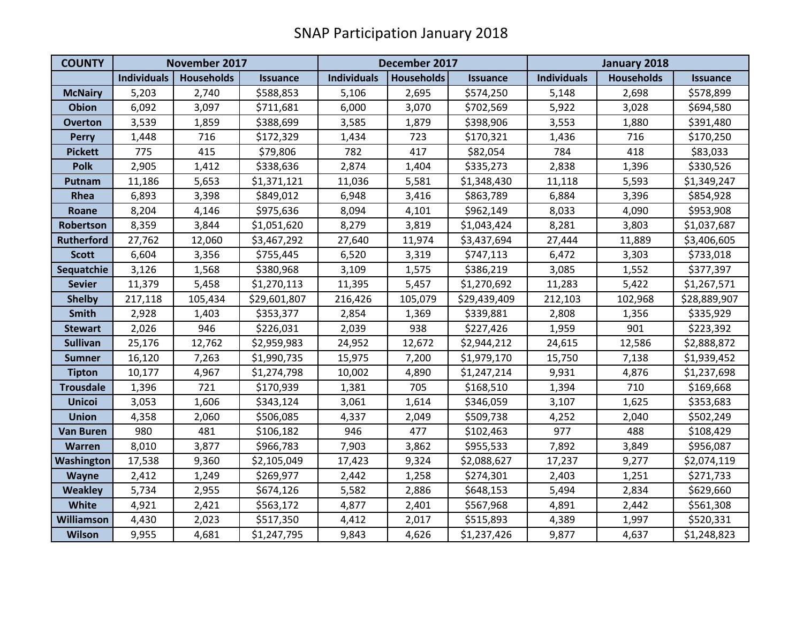| <b>COUNTY</b>     | November 2017      |                   |                 | December 2017      |                   |                 | January 2018       |                   |                 |
|-------------------|--------------------|-------------------|-----------------|--------------------|-------------------|-----------------|--------------------|-------------------|-----------------|
|                   | <b>Individuals</b> | <b>Households</b> | <b>Issuance</b> | <b>Individuals</b> | <b>Households</b> | <b>Issuance</b> | <b>Individuals</b> | <b>Households</b> | <b>Issuance</b> |
| <b>McNairy</b>    | 5,203              | 2,740             | \$588,853       | 5,106              | 2,695             | \$574,250       | 5,148              | 2,698             | \$578,899       |
| <b>Obion</b>      | 6,092              | 3,097             | \$711,681       | 6,000              | 3,070             | \$702,569       | 5,922              | 3,028             | \$694,580       |
| <b>Overton</b>    | 3,539              | 1,859             | \$388,699       | 3,585              | 1,879             | \$398,906       | 3,553              | 1,880             | \$391,480       |
| <b>Perry</b>      | 1,448              | 716               | \$172,329       | 1,434              | 723               | \$170,321       | 1,436              | 716               | \$170,250       |
| <b>Pickett</b>    | 775                | 415               | \$79,806        | 782                | 417               | \$82,054        | 784                | 418               | \$83,033        |
| <b>Polk</b>       | 2,905              | 1,412             | \$338,636       | 2,874              | 1,404             | \$335,273       | 2,838              | 1,396             | \$330,526       |
| Putnam            | 11,186             | 5,653             | \$1,371,121     | 11,036             | 5,581             | \$1,348,430     | 11,118             | 5,593             | \$1,349,247     |
| Rhea              | 6,893              | 3,398             | \$849,012       | 6,948              | 3,416             | \$863,789       | 6,884              | 3,396             | \$854,928       |
| Roane             | 8,204              | 4,146             | \$975,636       | 8,094              | 4,101             | \$962,149       | 8,033              | 4,090             | \$953,908       |
| <b>Robertson</b>  | 8,359              | 3,844             | \$1,051,620     | 8,279              | 3,819             | \$1,043,424     | 8,281              | 3,803             | \$1,037,687     |
| Rutherford        | 27,762             | 12,060            | \$3,467,292     | 27,640             | 11,974            | \$3,437,694     | 27,444             | 11,889            | \$3,406,605     |
| <b>Scott</b>      | 6,604              | 3,356             | \$755,445       | 6,520              | 3,319             | \$747,113       | 6,472              | 3,303             | \$733,018       |
| Sequatchie        | 3,126              | 1,568             | \$380,968       | 3,109              | 1,575             | \$386,219       | 3,085              | 1,552             | \$377,397       |
| <b>Sevier</b>     | 11,379             | 5,458             | \$1,270,113     | 11,395             | 5,457             | \$1,270,692     | 11,283             | 5,422             | \$1,267,571     |
| <b>Shelby</b>     | 217,118            | 105,434           | \$29,601,807    | 216,426            | 105,079           | \$29,439,409    | 212,103            | 102,968           | \$28,889,907    |
| <b>Smith</b>      | 2,928              | 1,403             | \$353,377       | 2,854              | 1,369             | \$339,881       | 2,808              | 1,356             | \$335,929       |
| <b>Stewart</b>    | 2,026              | 946               | \$226,031       | 2,039              | 938               | \$227,426       | 1,959              | 901               | \$223,392       |
| <b>Sullivan</b>   | 25,176             | 12,762            | \$2,959,983     | 24,952             | 12,672            | \$2,944,212     | 24,615             | 12,586            | \$2,888,872     |
| <b>Sumner</b>     | 16,120             | 7,263             | \$1,990,735     | 15,975             | 7,200             | \$1,979,170     | 15,750             | 7,138             | \$1,939,452     |
| <b>Tipton</b>     | 10,177             | 4,967             | \$1,274,798     | 10,002             | 4,890             | \$1,247,214     | 9,931              | 4,876             | \$1,237,698     |
| <b>Trousdale</b>  | 1,396              | 721               | \$170,939       | 1,381              | 705               | \$168,510       | 1,394              | 710               | \$169,668       |
| <b>Unicoi</b>     | 3,053              | 1,606             | \$343,124       | 3,061              | 1,614             | \$346,059       | 3,107              | 1,625             | \$353,683       |
| <b>Union</b>      | 4,358              | 2,060             | \$506,085       | 4,337              | 2,049             | \$509,738       | 4,252              | 2,040             | \$502,249       |
| <b>Van Buren</b>  | 980                | 481               | \$106,182       | 946                | 477               | \$102,463       | 977                | 488               | \$108,429       |
| <b>Warren</b>     | 8,010              | 3,877             | \$966,783       | 7,903              | 3,862             | \$955,533       | 7,892              | 3,849             | \$956,087       |
| Washington        | 17,538             | 9,360             | \$2,105,049     | 17,423             | 9,324             | \$2,088,627     | 17,237             | 9,277             | \$2,074,119     |
| <b>Wayne</b>      | 2,412              | 1,249             | \$269,977       | 2,442              | 1,258             | \$274,301       | 2,403              | 1,251             | \$271,733       |
| <b>Weakley</b>    | 5,734              | 2,955             | \$674,126       | 5,582              | 2,886             | \$648,153       | 5,494              | 2,834             | \$629,660       |
| White             | 4,921              | 2,421             | \$563,172       | 4,877              | 2,401             | \$567,968       | 4,891              | 2,442             | \$561,308       |
| <b>Williamson</b> | 4,430              | 2,023             | \$517,350       | 4,412              | 2,017             | \$515,893       | 4,389              | 1,997             | \$520,331       |
| Wilson            | 9,955              | 4,681             | \$1,247,795     | 9,843              | 4,626             | \$1,237,426     | 9,877              | 4,637             | \$1,248,823     |